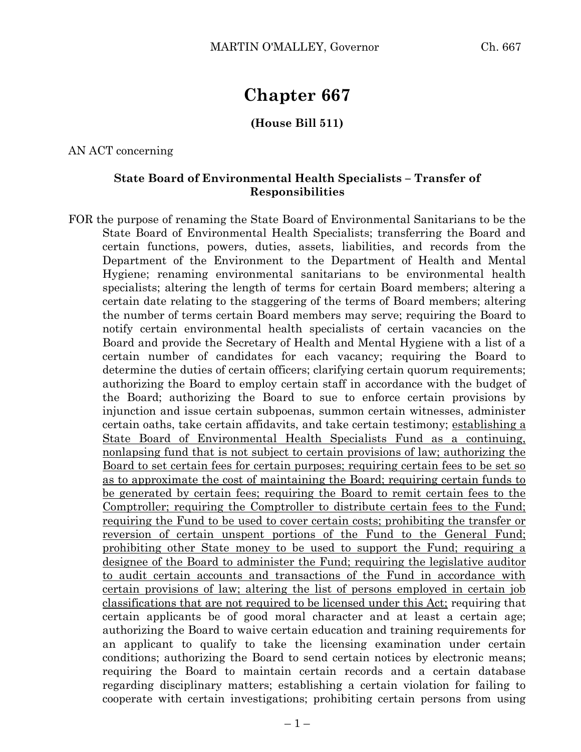# **Chapter 667**

### **(House Bill 511)**

AN ACT concerning

### **State Board of Environmental Health Specialists – Transfer of Responsibilities**

FOR the purpose of renaming the State Board of Environmental Sanitarians to be the State Board of Environmental Health Specialists; transferring the Board and certain functions, powers, duties, assets, liabilities, and records from the Department of the Environment to the Department of Health and Mental Hygiene; renaming environmental sanitarians to be environmental health specialists; altering the length of terms for certain Board members; altering a certain date relating to the staggering of the terms of Board members; altering the number of terms certain Board members may serve; requiring the Board to notify certain environmental health specialists of certain vacancies on the Board and provide the Secretary of Health and Mental Hygiene with a list of a certain number of candidates for each vacancy; requiring the Board to determine the duties of certain officers; clarifying certain quorum requirements; authorizing the Board to employ certain staff in accordance with the budget of the Board; authorizing the Board to sue to enforce certain provisions by injunction and issue certain subpoenas, summon certain witnesses, administer certain oaths, take certain affidavits, and take certain testimony; establishing a State Board of Environmental Health Specialists Fund as a continuing, nonlapsing fund that is not subject to certain provisions of law; authorizing the Board to set certain fees for certain purposes; requiring certain fees to be set so as to approximate the cost of maintaining the Board; requiring certain funds to be generated by certain fees; requiring the Board to remit certain fees to the Comptroller; requiring the Comptroller to distribute certain fees to the Fund; requiring the Fund to be used to cover certain costs; prohibiting the transfer or reversion of certain unspent portions of the Fund to the General Fund; prohibiting other State money to be used to support the Fund; requiring a designee of the Board to administer the Fund; requiring the legislative auditor to audit certain accounts and transactions of the Fund in accordance with certain provisions of law; altering the list of persons employed in certain job classifications that are not required to be licensed under this Act; requiring that certain applicants be of good moral character and at least a certain age; authorizing the Board to waive certain education and training requirements for an applicant to qualify to take the licensing examination under certain conditions; authorizing the Board to send certain notices by electronic means; requiring the Board to maintain certain records and a certain database regarding disciplinary matters; establishing a certain violation for failing to cooperate with certain investigations; prohibiting certain persons from using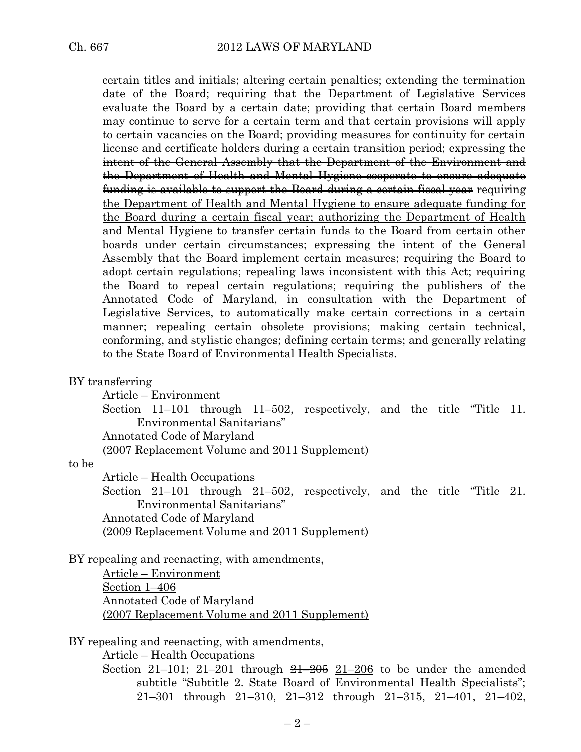certain titles and initials; altering certain penalties; extending the termination date of the Board; requiring that the Department of Legislative Services evaluate the Board by a certain date; providing that certain Board members may continue to serve for a certain term and that certain provisions will apply to certain vacancies on the Board; providing measures for continuity for certain license and certificate holders during a certain transition period; expressing the intent of the General Assembly that the Department of the Environment and the Department of Health and Mental Hygiene cooperate to ensure adequate funding is available to support the Board during a certain fiscal year requiring the Department of Health and Mental Hygiene to ensure adequate funding for the Board during a certain fiscal year; authorizing the Department of Health and Mental Hygiene to transfer certain funds to the Board from certain other boards under certain circumstances; expressing the intent of the General Assembly that the Board implement certain measures; requiring the Board to adopt certain regulations; repealing laws inconsistent with this Act; requiring the Board to repeal certain regulations; requiring the publishers of the Annotated Code of Maryland, in consultation with the Department of Legislative Services, to automatically make certain corrections in a certain manner; repealing certain obsolete provisions; making certain technical, conforming, and stylistic changes; defining certain terms; and generally relating to the State Board of Environmental Health Specialists.

BY transferring

Article – Environment

Section 11–101 through 11–502, respectively, and the title "Title 11. Environmental Sanitarians"

Annotated Code of Maryland

(2007 Replacement Volume and 2011 Supplement)

#### to be

Article – Health Occupations

Section 21–101 through 21–502, respectively, and the title "Title 21. Environmental Sanitarians"

Annotated Code of Maryland

(2009 Replacement Volume and 2011 Supplement)

BY repealing and reenacting, with amendments,

Article – Environment Section 1–406 Annotated Code of Maryland (2007 Replacement Volume and 2011 Supplement)

BY repealing and reenacting, with amendments,

Article – Health Occupations

Section 21–101; 21–201 through  $21-205$  21–206 to be under the amended subtitle "Subtitle 2. State Board of Environmental Health Specialists"; 21–301 through 21–310, 21–312 through 21–315, 21–401, 21–402,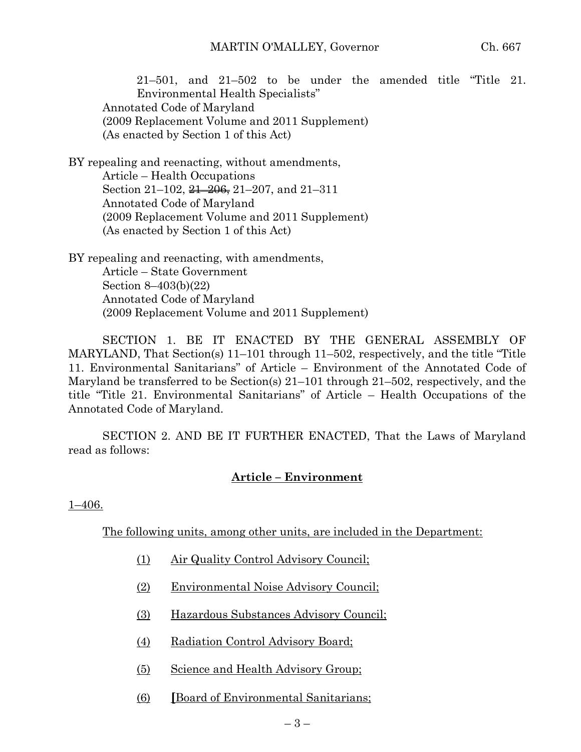21–501, and 21–502 to be under the amended title "Title 21. Environmental Health Specialists" Annotated Code of Maryland (2009 Replacement Volume and 2011 Supplement) (As enacted by Section 1 of this Act)

BY repealing and reenacting, without amendments, Article – Health Occupations Section 21–102,  $\frac{21-206}{6}$ , 21–207, and 21–311 Annotated Code of Maryland (2009 Replacement Volume and 2011 Supplement) (As enacted by Section 1 of this Act)

BY repealing and reenacting, with amendments, Article – State Government Section 8–403(b)(22) Annotated Code of Maryland (2009 Replacement Volume and 2011 Supplement)

SECTION 1. BE IT ENACTED BY THE GENERAL ASSEMBLY OF MARYLAND, That Section(s) 11–101 through 11–502, respectively, and the title "Title 11. Environmental Sanitarians" of Article – Environment of the Annotated Code of Maryland be transferred to be Section(s) 21–101 through 21–502, respectively, and the title "Title 21. Environmental Sanitarians" of Article – Health Occupations of the Annotated Code of Maryland.

SECTION 2. AND BE IT FURTHER ENACTED, That the Laws of Maryland read as follows:

# **Article – Environment**

1–406.

The following units, among other units, are included in the Department:

- (1) Air Quality Control Advisory Council;
- (2) Environmental Noise Advisory Council;
- (3) Hazardous Substances Advisory Council;
- (4) Radiation Control Advisory Board;
- (5) Science and Health Advisory Group;
- (6) **[**Board of Environmental Sanitarians;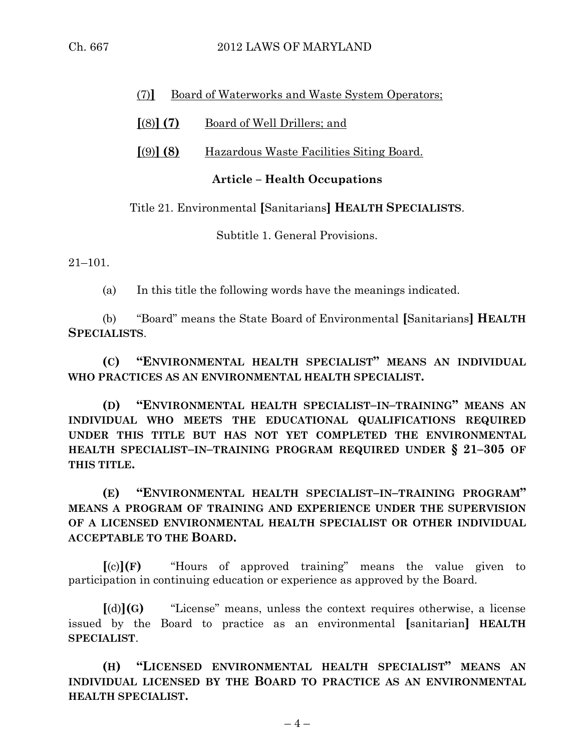## 2012 LAWS OF MARYLAND

| -11.           | 667 |
|----------------|-----|
| $\binom{n}{k}$ |     |

### (7)**]** Board of Waterworks and Waste System Operators;

### **[**(8)**] (7)** Board of Well Drillers; and

### **[**(9)**] (8)** Hazardous Waste Facilities Siting Board.

### **Article – Health Occupations**

#### Title 21. Environmental **[**Sanitarians**] HEALTH SPECIALISTS**.

Subtitle 1. General Provisions.

21–101.

(a) In this title the following words have the meanings indicated.

(b) "Board" means the State Board of Environmental **[**Sanitarians**] HEALTH SPECIALISTS**.

**(C) "ENVIRONMENTAL HEALTH SPECIALIST" MEANS AN INDIVIDUAL WHO PRACTICES AS AN ENVIRONMENTAL HEALTH SPECIALIST.**

**(D) "ENVIRONMENTAL HEALTH SPECIALIST–IN–TRAINING" MEANS AN INDIVIDUAL WHO MEETS THE EDUCATIONAL QUALIFICATIONS REQUIRED UNDER THIS TITLE BUT HAS NOT YET COMPLETED THE ENVIRONMENTAL HEALTH SPECIALIST–IN–TRAINING PROGRAM REQUIRED UNDER § 21–305 OF THIS TITLE.**

**(E) "ENVIRONMENTAL HEALTH SPECIALIST–IN–TRAINING PROGRAM" MEANS A PROGRAM OF TRAINING AND EXPERIENCE UNDER THE SUPERVISION OF A LICENSED ENVIRONMENTAL HEALTH SPECIALIST OR OTHER INDIVIDUAL ACCEPTABLE TO THE BOARD.**

**[**(c)**](F)** "Hours of approved training" means the value given to participation in continuing education or experience as approved by the Board.

**[**(d)**](G)** "License" means, unless the context requires otherwise, a license issued by the Board to practice as an environmental **[**sanitarian**] HEALTH SPECIALIST**.

**(H) "LICENSED ENVIRONMENTAL HEALTH SPECIALIST" MEANS AN INDIVIDUAL LICENSED BY THE BOARD TO PRACTICE AS AN ENVIRONMENTAL HEALTH SPECIALIST.**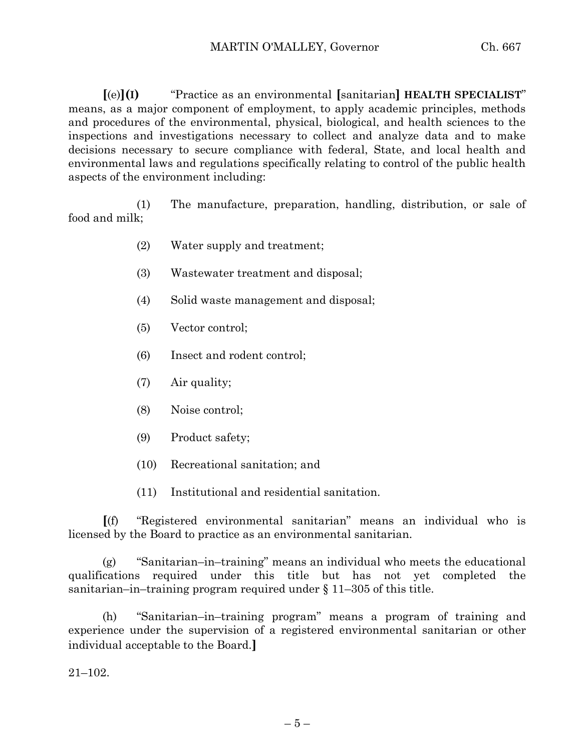**[**(e)**](I)** "Practice as an environmental **[**sanitarian**] HEALTH SPECIALIST**" means, as a major component of employment, to apply academic principles, methods and procedures of the environmental, physical, biological, and health sciences to the inspections and investigations necessary to collect and analyze data and to make decisions necessary to secure compliance with federal, State, and local health and environmental laws and regulations specifically relating to control of the public health aspects of the environment including:

(1) The manufacture, preparation, handling, distribution, or sale of food and milk;

- (2) Water supply and treatment;
- (3) Wastewater treatment and disposal;
- (4) Solid waste management and disposal;
- (5) Vector control;
- (6) Insect and rodent control;
- (7) Air quality;
- (8) Noise control;
- (9) Product safety;
- (10) Recreational sanitation; and
- (11) Institutional and residential sanitation.

**[**(f) "Registered environmental sanitarian" means an individual who is licensed by the Board to practice as an environmental sanitarian.

(g) "Sanitarian–in–training" means an individual who meets the educational qualifications required under this title but has not yet completed the sanitarian–in–training program required under  $\S 11-305$  of this title.

(h) "Sanitarian–in–training program" means a program of training and experience under the supervision of a registered environmental sanitarian or other individual acceptable to the Board.**]**

21–102.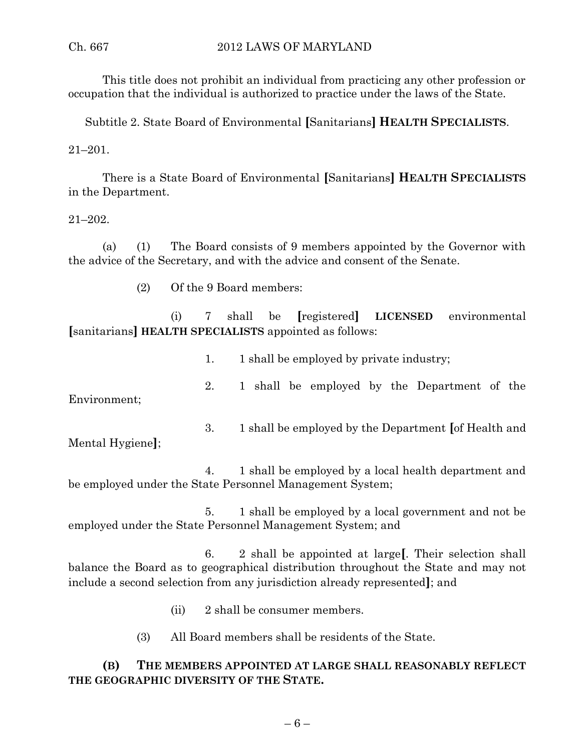This title does not prohibit an individual from practicing any other profession or occupation that the individual is authorized to practice under the laws of the State.

Subtitle 2. State Board of Environmental **[**Sanitarians**] HEALTH SPECIALISTS**.

21–201.

There is a State Board of Environmental **[**Sanitarians**] HEALTH SPECIALISTS** in the Department.

### 21–202.

(a) (1) The Board consists of 9 members appointed by the Governor with the advice of the Secretary, and with the advice and consent of the Senate.

(2) Of the 9 Board members:

(i) 7 shall be **[**registered**] LICENSED** environmental **[**sanitarians**] HEALTH SPECIALISTS** appointed as follows:

1. 1 shall be employed by private industry;

Environment;

Mental Hygiene**]**;

3. 1 shall be employed by the Department **[**of Health and

2. 1 shall be employed by the Department of the

4. 1 shall be employed by a local health department and be employed under the State Personnel Management System;

5. 1 shall be employed by a local government and not be employed under the State Personnel Management System; and

6. 2 shall be appointed at large**[**. Their selection shall balance the Board as to geographical distribution throughout the State and may not include a second selection from any jurisdiction already represented**]**; and

- (ii) 2 shall be consumer members.
- (3) All Board members shall be residents of the State.

# **(B) THE MEMBERS APPOINTED AT LARGE SHALL REASONABLY REFLECT THE GEOGRAPHIC DIVERSITY OF THE STATE.**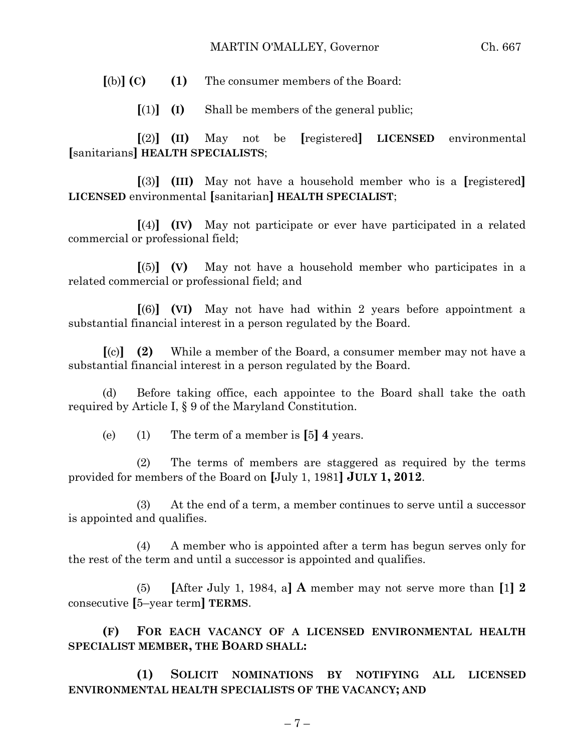#### MARTIN O'MALLEY, Governor Ch. 667

**[**(b)**] (C) (1)** The consumer members of the Board:

 $[(1)]$   $(I)$  Shall be members of the general public;

**[**(2)**] (II)** May not be **[**registered**] LICENSED** environmental **[**sanitarians**] HEALTH SPECIALISTS**;

**[**(3)**] (III)** May not have a household member who is a **[**registered**] LICENSED** environmental **[**sanitarian**] HEALTH SPECIALIST**;

**[**(4)**] (IV)** May not participate or ever have participated in a related commercial or professional field;

**[**(5)**] (V)** May not have a household member who participates in a related commercial or professional field; and

**[**(6)**] (VI)** May not have had within 2 years before appointment a substantial financial interest in a person regulated by the Board.

**[**(c)**] (2)** While a member of the Board, a consumer member may not have a substantial financial interest in a person regulated by the Board.

(d) Before taking office, each appointee to the Board shall take the oath required by Article I, § 9 of the Maryland Constitution.

(e) (1) The term of a member is **[**5**] 4** years.

(2) The terms of members are staggered as required by the terms provided for members of the Board on **[**July 1, 1981**] JULY 1, 2012**.

(3) At the end of a term, a member continues to serve until a successor is appointed and qualifies.

(4) A member who is appointed after a term has begun serves only for the rest of the term and until a successor is appointed and qualifies.

(5) **[**After July 1, 1984, a**] A** member may not serve more than **[**1**] 2** consecutive **[**5–year term**] TERMS**.

**(F) FOR EACH VACANCY OF A LICENSED ENVIRONMENTAL HEALTH SPECIALIST MEMBER, THE BOARD SHALL:**

**(1) SOLICIT NOMINATIONS BY NOTIFYING ALL LICENSED ENVIRONMENTAL HEALTH SPECIALISTS OF THE VACANCY; AND**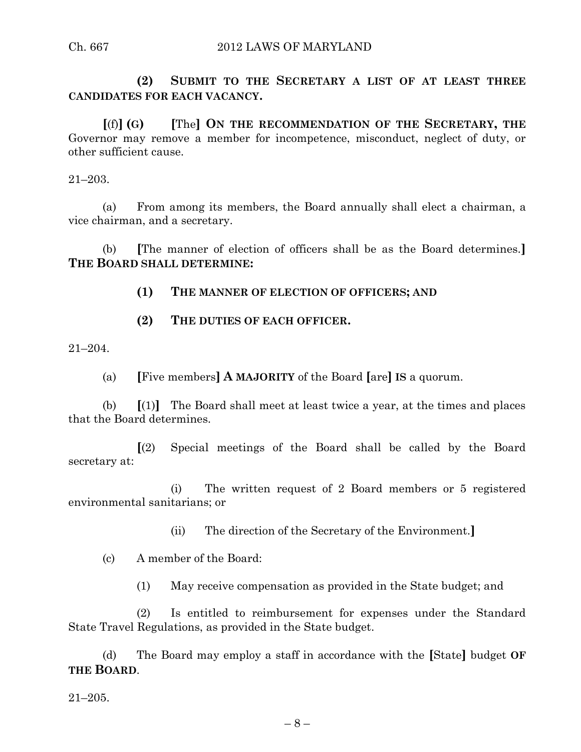**(2) SUBMIT TO THE SECRETARY A LIST OF AT LEAST THREE CANDIDATES FOR EACH VACANCY.**

**[**(f)**] (G) [**The**] ON THE RECOMMENDATION OF THE SECRETARY, THE** Governor may remove a member for incompetence, misconduct, neglect of duty, or other sufficient cause.

21–203.

(a) From among its members, the Board annually shall elect a chairman, a vice chairman, and a secretary.

(b) **[**The manner of election of officers shall be as the Board determines.**] THE BOARD SHALL DETERMINE:**

**(1) THE MANNER OF ELECTION OF OFFICERS; AND**

**(2) THE DUTIES OF EACH OFFICER.**

21–204.

(a) **[**Five members**] A MAJORITY** of the Board **[**are**] IS** a quorum.

(b) **[**(1)**]** The Board shall meet at least twice a year, at the times and places that the Board determines.

**[**(2) Special meetings of the Board shall be called by the Board secretary at:

(i) The written request of 2 Board members or 5 registered environmental sanitarians; or

(ii) The direction of the Secretary of the Environment.**]**

(c) A member of the Board:

(1) May receive compensation as provided in the State budget; and

(2) Is entitled to reimbursement for expenses under the Standard State Travel Regulations, as provided in the State budget.

(d) The Board may employ a staff in accordance with the **[**State**]** budget **OF THE BOARD**.

21–205.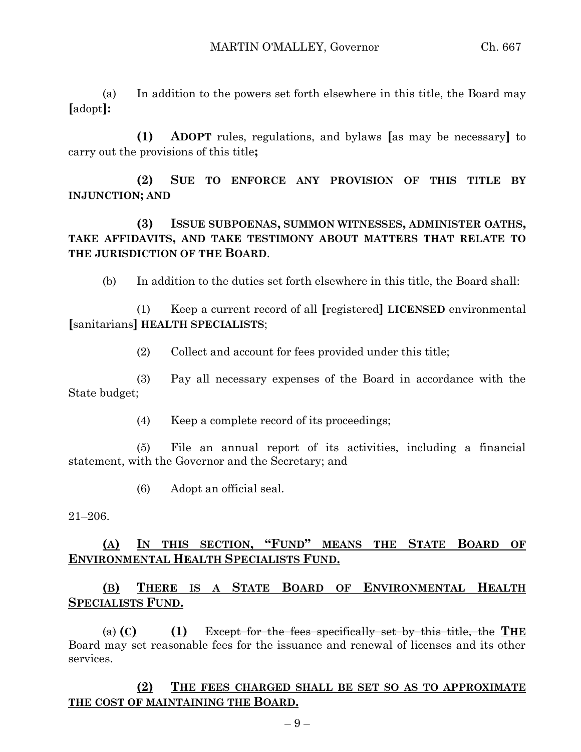(a) In addition to the powers set forth elsewhere in this title, the Board may **[**adopt**]:**

**(1) ADOPT** rules, regulations, and bylaws **[**as may be necessary**]** to carry out the provisions of this title**;**

**(2) SUE TO ENFORCE ANY PROVISION OF THIS TITLE BY INJUNCTION; AND**

**(3) ISSUE SUBPOENAS, SUMMON WITNESSES, ADMINISTER OATHS, TAKE AFFIDAVITS, AND TAKE TESTIMONY ABOUT MATTERS THAT RELATE TO THE JURISDICTION OF THE BOARD**.

(b) In addition to the duties set forth elsewhere in this title, the Board shall:

(1) Keep a current record of all **[**registered**] LICENSED** environmental **[**sanitarians**] HEALTH SPECIALISTS**;

(2) Collect and account for fees provided under this title;

(3) Pay all necessary expenses of the Board in accordance with the State budget;

(4) Keep a complete record of its proceedings;

(5) File an annual report of its activities, including a financial statement, with the Governor and the Secretary; and

(6) Adopt an official seal.

21–206.

# **(A) IN THIS SECTION, "FUND" MEANS THE STATE BOARD OF ENVIRONMENTAL HEALTH SPECIALISTS FUND.**

**(B) THERE IS A STATE BOARD OF ENVIRONMENTAL HEALTH SPECIALISTS FUND.**

(a) **(C) (1)** Except for the fees specifically set by this title, the **THE** Board may set reasonable fees for the issuance and renewal of licenses and its other services.

**(2) THE FEES CHARGED SHALL BE SET SO AS TO APPROXIMATE THE COST OF MAINTAINING THE BOARD.**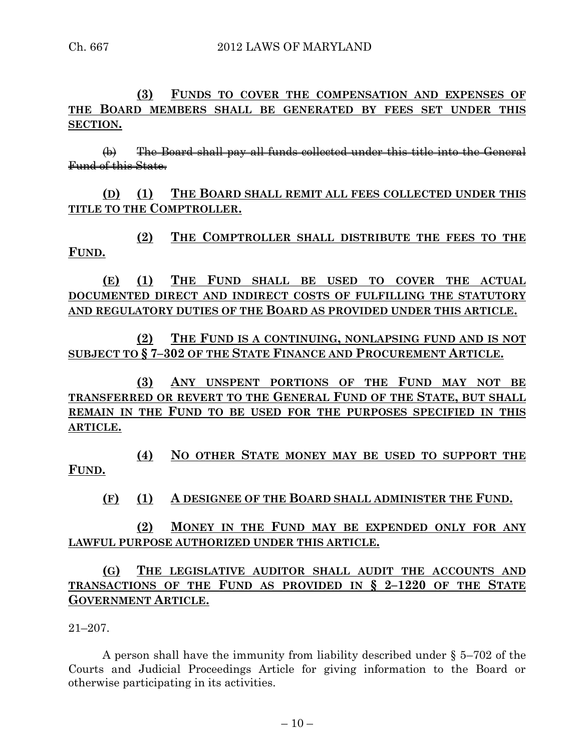**(3) FUNDS TO COVER THE COMPENSATION AND EXPENSES OF THE BOARD MEMBERS SHALL BE GENERATED BY FEES SET UNDER THIS SECTION.**

(b) The Board shall pay all funds collected under this title into the General Fund of this State.

**(D) (1) THE BOARD SHALL REMIT ALL FEES COLLECTED UNDER THIS TITLE TO THE COMPTROLLER.**

**(2) THE COMPTROLLER SHALL DISTRIBUTE THE FEES TO THE FUND.**

**(E) (1) THE FUND SHALL BE USED TO COVER THE ACTUAL DOCUMENTED DIRECT AND INDIRECT COSTS OF FULFILLING THE STATUTORY AND REGULATORY DUTIES OF THE BOARD AS PROVIDED UNDER THIS ARTICLE.**

**(2) THE FUND IS A CONTINUING, NONLAPSING FUND AND IS NOT SUBJECT TO § 7–302 OF THE STATE FINANCE AND PROCUREMENT ARTICLE.**

**(3) ANY UNSPENT PORTIONS OF THE FUND MAY NOT BE TRANSFERRED OR REVERT TO THE GENERAL FUND OF THE STATE, BUT SHALL REMAIN IN THE FUND TO BE USED FOR THE PURPOSES SPECIFIED IN THIS ARTICLE.**

**(4) NO OTHER STATE MONEY MAY BE USED TO SUPPORT THE FUND.**

**(F) (1) A DESIGNEE OF THE BOARD SHALL ADMINISTER THE FUND.**

**(2) MONEY IN THE FUND MAY BE EXPENDED ONLY FOR ANY LAWFUL PURPOSE AUTHORIZED UNDER THIS ARTICLE.**

**(G) THE LEGISLATIVE AUDITOR SHALL AUDIT THE ACCOUNTS AND TRANSACTIONS OF THE FUND AS PROVIDED IN § 2–1220 OF THE STATE GOVERNMENT ARTICLE.**

21–207.

A person shall have the immunity from liability described under § 5–702 of the Courts and Judicial Proceedings Article for giving information to the Board or otherwise participating in its activities.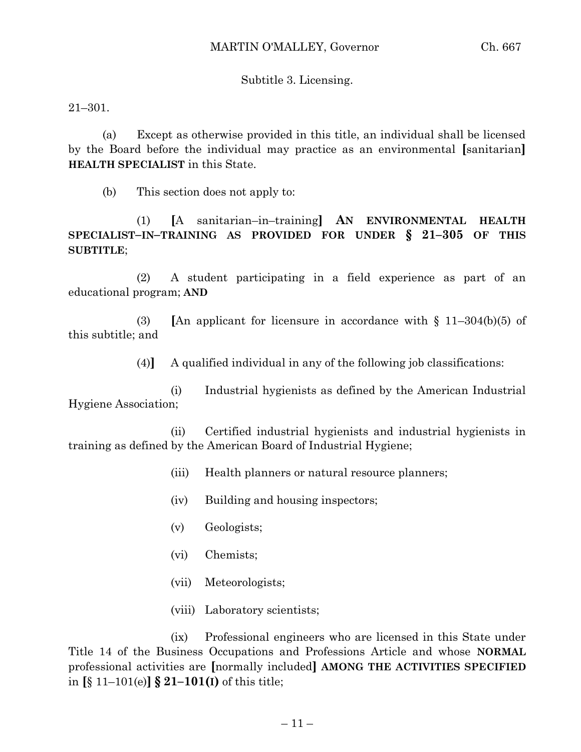### Subtitle 3. Licensing.

21–301.

(a) Except as otherwise provided in this title, an individual shall be licensed by the Board before the individual may practice as an environmental **[**sanitarian**] HEALTH SPECIALIST** in this State.

(b) This section does not apply to:

(1) **[**A sanitarian–in–training**] AN ENVIRONMENTAL HEALTH SPECIALIST–IN–TRAINING AS PROVIDED FOR UNDER § 21–305 OF THIS SUBTITLE**;

(2) A student participating in a field experience as part of an educational program; **AND**

(3) **[**An applicant for licensure in accordance with § 11–304(b)(5) of this subtitle; and

(4)**]** A qualified individual in any of the following job classifications:

(i) Industrial hygienists as defined by the American Industrial Hygiene Association;

(ii) Certified industrial hygienists and industrial hygienists in training as defined by the American Board of Industrial Hygiene;

- (iii) Health planners or natural resource planners;
- (iv) Building and housing inspectors;
- (v) Geologists;
- (vi) Chemists;
- (vii) Meteorologists;
- (viii) Laboratory scientists;

(ix) Professional engineers who are licensed in this State under Title 14 of the Business Occupations and Professions Article and whose **NORMAL** professional activities are **[**normally included**] AMONG THE ACTIVITIES SPECIFIED** in **[**§ 11–101(e)**] § 21–101(I)** of this title;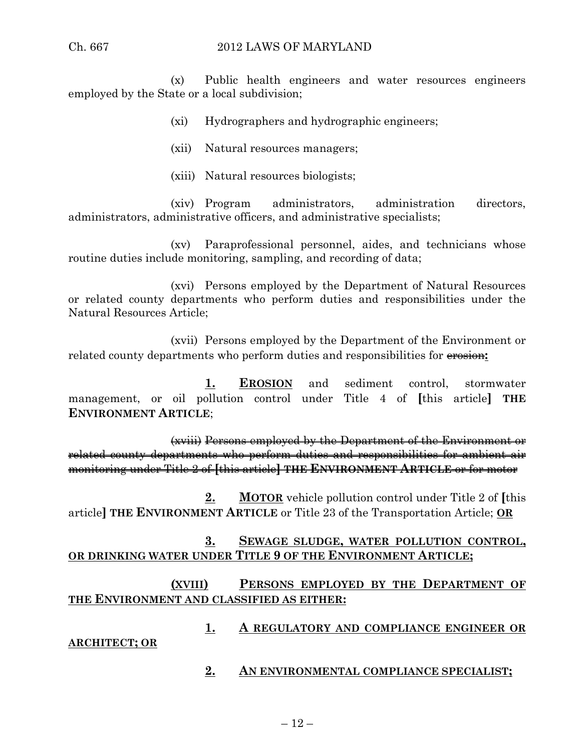(x) Public health engineers and water resources engineers employed by the State or a local subdivision;

(xi) Hydrographers and hydrographic engineers;

(xii) Natural resources managers;

(xiii) Natural resources biologists;

(xiv) Program administrators, administration directors, administrators, administrative officers, and administrative specialists;

(xv) Paraprofessional personnel, aides, and technicians whose routine duties include monitoring, sampling, and recording of data;

(xvi) Persons employed by the Department of Natural Resources or related county departments who perform duties and responsibilities under the Natural Resources Article;

(xvii) Persons employed by the Department of the Environment or related county departments who perform duties and responsibilities for erosion**:**

**1. EROSION** and sediment control, stormwater management, or oil pollution control under Title 4 of **[**this article**] THE ENVIRONMENT ARTICLE**;

(xviii) Persons employed by the Department of the Environment or related county departments who perform duties and responsibilities for ambient air monitoring under Title 2 of **[**this article**] THE ENVIRONMENT ARTICLE** or for motor

**2. MOTOR** vehicle pollution control under Title 2 of **[**this article**] THE ENVIRONMENT ARTICLE** or Title 23 of the Transportation Article; **OR**

# **3. SEWAGE SLUDGE, WATER POLLUTION CONTROL, OR DRINKING WATER UNDER TITLE 9 OF THE ENVIRONMENT ARTICLE;**

# **(XVIII) PERSONS EMPLOYED BY THE DEPARTMENT OF THE ENVIRONMENT AND CLASSIFIED AS EITHER:**

**1. A REGULATORY AND COMPLIANCE ENGINEER OR** 

### **ARCHITECT; OR**

**2. AN ENVIRONMENTAL COMPLIANCE SPECIALIST;**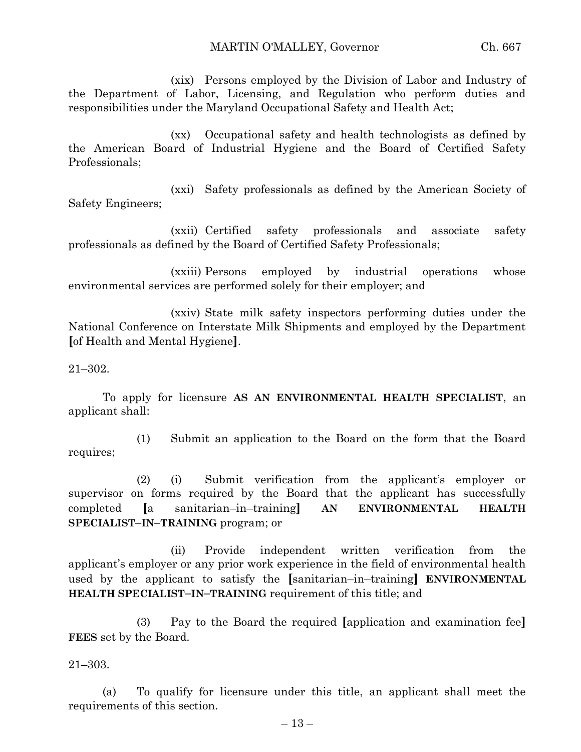(xix) Persons employed by the Division of Labor and Industry of the Department of Labor, Licensing, and Regulation who perform duties and responsibilities under the Maryland Occupational Safety and Health Act;

(xx) Occupational safety and health technologists as defined by the American Board of Industrial Hygiene and the Board of Certified Safety Professionals;

(xxi) Safety professionals as defined by the American Society of Safety Engineers;

(xxii) Certified safety professionals and associate safety professionals as defined by the Board of Certified Safety Professionals;

(xxiii) Persons employed by industrial operations whose environmental services are performed solely for their employer; and

(xxiv) State milk safety inspectors performing duties under the National Conference on Interstate Milk Shipments and employed by the Department **[**of Health and Mental Hygiene**]**.

21–302.

To apply for licensure **AS AN ENVIRONMENTAL HEALTH SPECIALIST**, an applicant shall:

(1) Submit an application to the Board on the form that the Board requires;

(2) (i) Submit verification from the applicant's employer or supervisor on forms required by the Board that the applicant has successfully completed **[**a sanitarian–in–training**] AN ENVIRONMENTAL HEALTH SPECIALIST–IN–TRAINING** program; or

(ii) Provide independent written verification from the applicant's employer or any prior work experience in the field of environmental health used by the applicant to satisfy the **[**sanitarian–in–training**] ENVIRONMENTAL HEALTH SPECIALIST–IN–TRAINING** requirement of this title; and

(3) Pay to the Board the required **[**application and examination fee**] FEES** set by the Board.

21–303.

(a) To qualify for licensure under this title, an applicant shall meet the requirements of this section.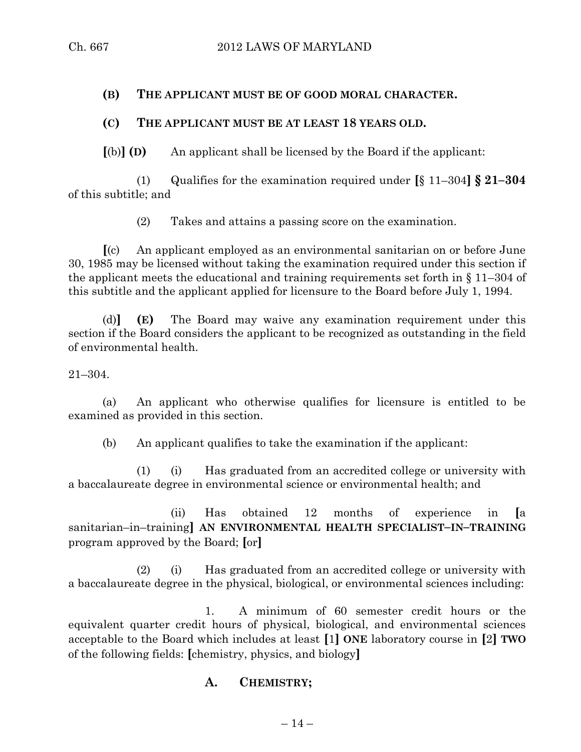## **(B) THE APPLICANT MUST BE OF GOOD MORAL CHARACTER.**

# **(C) THE APPLICANT MUST BE AT LEAST 18 YEARS OLD.**

**[**(b)**] (D)** An applicant shall be licensed by the Board if the applicant:

(1) Qualifies for the examination required under **[**§ 11–304**] § 21–304** of this subtitle; and

(2) Takes and attains a passing score on the examination.

**[**(c) An applicant employed as an environmental sanitarian on or before June 30, 1985 may be licensed without taking the examination required under this section if the applicant meets the educational and training requirements set forth in § 11–304 of this subtitle and the applicant applied for licensure to the Board before July 1, 1994.

(d)**] (E)** The Board may waive any examination requirement under this section if the Board considers the applicant to be recognized as outstanding in the field of environmental health.

21–304.

(a) An applicant who otherwise qualifies for licensure is entitled to be examined as provided in this section.

(b) An applicant qualifies to take the examination if the applicant:

(1) (i) Has graduated from an accredited college or university with a baccalaureate degree in environmental science or environmental health; and

(ii) Has obtained 12 months of experience in **[**a sanitarian–in–training**] AN ENVIRONMENTAL HEALTH SPECIALIST–IN–TRAINING** program approved by the Board; **[**or**]**

(2) (i) Has graduated from an accredited college or university with a baccalaureate degree in the physical, biological, or environmental sciences including:

1. A minimum of 60 semester credit hours or the equivalent quarter credit hours of physical, biological, and environmental sciences acceptable to the Board which includes at least **[**1**] ONE** laboratory course in **[**2**] TWO** of the following fields: **[**chemistry, physics, and biology**]**

# **A. CHEMISTRY;**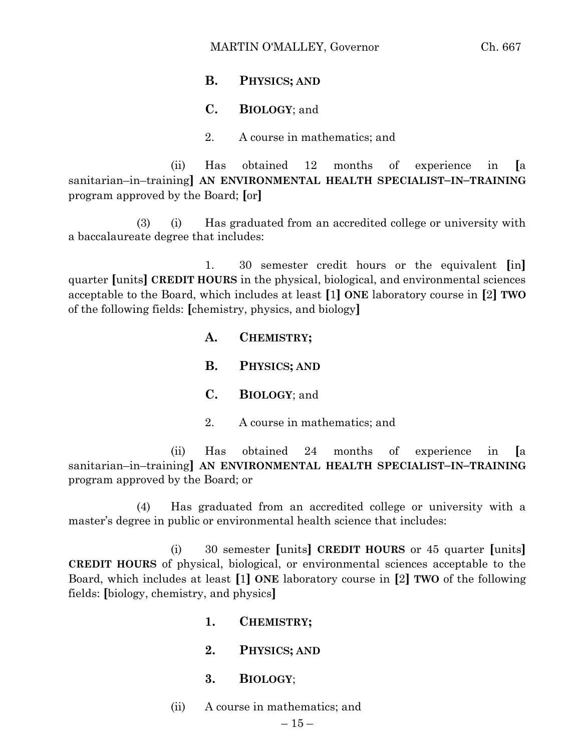# **B. PHYSICS; AND**

### **C. BIOLOGY**; and

2. A course in mathematics; and

(ii) Has obtained 12 months of experience in **[**a sanitarian–in–training**] AN ENVIRONMENTAL HEALTH SPECIALIST–IN–TRAINING** program approved by the Board; **[**or**]**

(3) (i) Has graduated from an accredited college or university with a baccalaureate degree that includes:

1. 30 semester credit hours or the equivalent **[**in**]** quarter **[**units**] CREDIT HOURS** in the physical, biological, and environmental sciences acceptable to the Board, which includes at least **[**1**] ONE** laboratory course in **[**2**] TWO** of the following fields: **[**chemistry, physics, and biology**]**

> **A. CHEMISTRY; B. PHYSICS; AND C. BIOLOGY**; and 2. A course in mathematics; and

(ii) Has obtained 24 months of experience in **[**a sanitarian–in–training**] AN ENVIRONMENTAL HEALTH SPECIALIST–IN–TRAINING** program approved by the Board; or

(4) Has graduated from an accredited college or university with a master's degree in public or environmental health science that includes:

(i) 30 semester **[**units**] CREDIT HOURS** or 45 quarter **[**units**] CREDIT HOURS** of physical, biological, or environmental sciences acceptable to the Board, which includes at least **[**1**] ONE** laboratory course in **[**2**] TWO** of the following fields: **[**biology, chemistry, and physics**]**

- **1. CHEMISTRY;**
- **2. PHYSICS; AND**
- **3. BIOLOGY**;
- (ii) A course in mathematics; and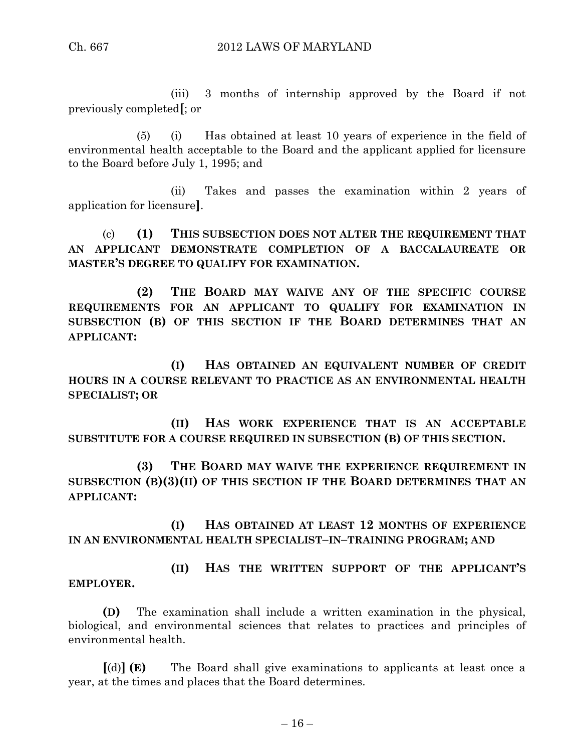(iii) 3 months of internship approved by the Board if not previously completed**[**; or

(5) (i) Has obtained at least 10 years of experience in the field of environmental health acceptable to the Board and the applicant applied for licensure to the Board before July 1, 1995; and

(ii) Takes and passes the examination within 2 years of application for licensure**]**.

(c) **(1) THIS SUBSECTION DOES NOT ALTER THE REQUIREMENT THAT AN APPLICANT DEMONSTRATE COMPLETION OF A BACCALAUREATE OR MASTER'S DEGREE TO QUALIFY FOR EXAMINATION.**

**(2) THE BOARD MAY WAIVE ANY OF THE SPECIFIC COURSE REQUIREMENTS FOR AN APPLICANT TO QUALIFY FOR EXAMINATION IN SUBSECTION (B) OF THIS SECTION IF THE BOARD DETERMINES THAT AN APPLICANT:**

**(I) HAS OBTAINED AN EQUIVALENT NUMBER OF CREDIT HOURS IN A COURSE RELEVANT TO PRACTICE AS AN ENVIRONMENTAL HEALTH SPECIALIST; OR**

**(II) HAS WORK EXPERIENCE THAT IS AN ACCEPTABLE SUBSTITUTE FOR A COURSE REQUIRED IN SUBSECTION (B) OF THIS SECTION.**

**(3) THE BOARD MAY WAIVE THE EXPERIENCE REQUIREMENT IN SUBSECTION (B)(3)(II) OF THIS SECTION IF THE BOARD DETERMINES THAT AN APPLICANT:**

**(I) HAS OBTAINED AT LEAST 12 MONTHS OF EXPERIENCE IN AN ENVIRONMENTAL HEALTH SPECIALIST–IN–TRAINING PROGRAM; AND**

**(II) HAS THE WRITTEN SUPPORT OF THE APPLICANT'S EMPLOYER.**

**(D)** The examination shall include a written examination in the physical, biological, and environmental sciences that relates to practices and principles of environmental health.

**[**(d)**] (E)** The Board shall give examinations to applicants at least once a year, at the times and places that the Board determines.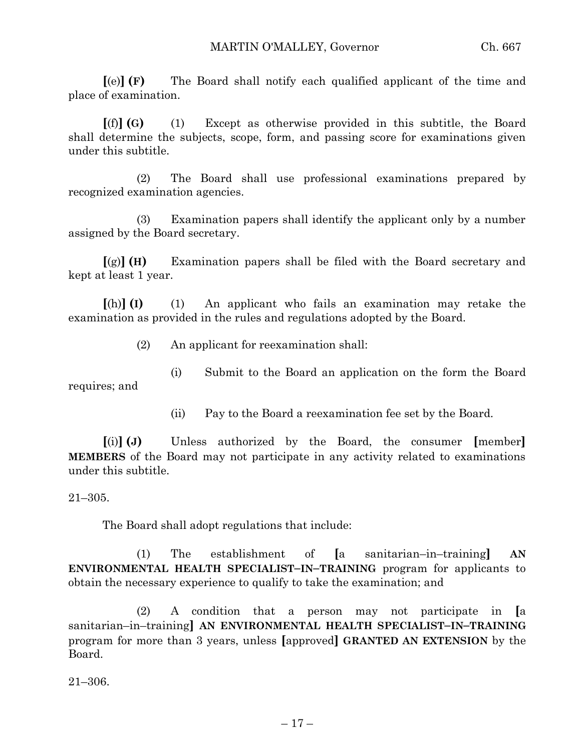**[**(e)**] (F)** The Board shall notify each qualified applicant of the time and place of examination.

**[**(f)**] (G)** (1) Except as otherwise provided in this subtitle, the Board shall determine the subjects, scope, form, and passing score for examinations given under this subtitle.

(2) The Board shall use professional examinations prepared by recognized examination agencies.

(3) Examination papers shall identify the applicant only by a number assigned by the Board secretary.

**[**(g)**] (H)** Examination papers shall be filed with the Board secretary and kept at least 1 year.

**[**(h)**] (I)** (1) An applicant who fails an examination may retake the examination as provided in the rules and regulations adopted by the Board.

(2) An applicant for reexamination shall:

(i) Submit to the Board an application on the form the Board requires; and

(ii) Pay to the Board a reexamination fee set by the Board.

**[**(i)**] (J)** Unless authorized by the Board, the consumer **[**member**] MEMBERS** of the Board may not participate in any activity related to examinations under this subtitle.

21–305.

The Board shall adopt regulations that include:

(1) The establishment of **[**a sanitarian–in–training**] AN ENVIRONMENTAL HEALTH SPECIALIST–IN–TRAINING** program for applicants to obtain the necessary experience to qualify to take the examination; and

(2) A condition that a person may not participate in **[**a sanitarian–in–training**] AN ENVIRONMENTAL HEALTH SPECIALIST–IN–TRAINING** program for more than 3 years, unless **[**approved**] GRANTED AN EXTENSION** by the Board.

21–306.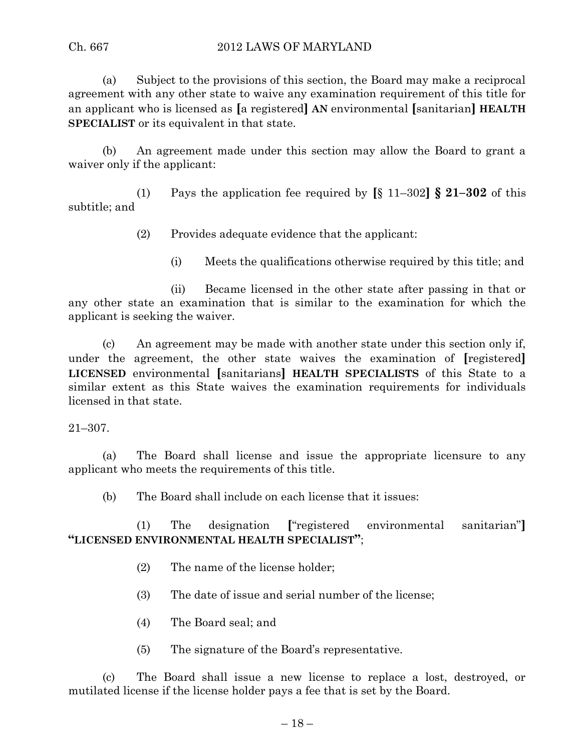# Ch. 667 2012 LAWS OF MARYLAND

(a) Subject to the provisions of this section, the Board may make a reciprocal agreement with any other state to waive any examination requirement of this title for an applicant who is licensed as **[**a registered**] AN** environmental **[**sanitarian**] HEALTH SPECIALIST** or its equivalent in that state.

(b) An agreement made under this section may allow the Board to grant a waiver only if the applicant:

(1) Pays the application fee required by **[**§ 11–302**] § 21–302** of this subtitle; and

(2) Provides adequate evidence that the applicant:

(i) Meets the qualifications otherwise required by this title; and

(ii) Became licensed in the other state after passing in that or any other state an examination that is similar to the examination for which the applicant is seeking the waiver.

(c) An agreement may be made with another state under this section only if, under the agreement, the other state waives the examination of **[**registered**] LICENSED** environmental **[**sanitarians**] HEALTH SPECIALISTS** of this State to a similar extent as this State waives the examination requirements for individuals licensed in that state.

21–307.

(a) The Board shall license and issue the appropriate licensure to any applicant who meets the requirements of this title.

(b) The Board shall include on each license that it issues:

(1) The designation **[**"registered environmental sanitarian"**] "LICENSED ENVIRONMENTAL HEALTH SPECIALIST"**;

- (2) The name of the license holder;
- (3) The date of issue and serial number of the license;
- (4) The Board seal; and
- (5) The signature of the Board's representative.

(c) The Board shall issue a new license to replace a lost, destroyed, or mutilated license if the license holder pays a fee that is set by the Board.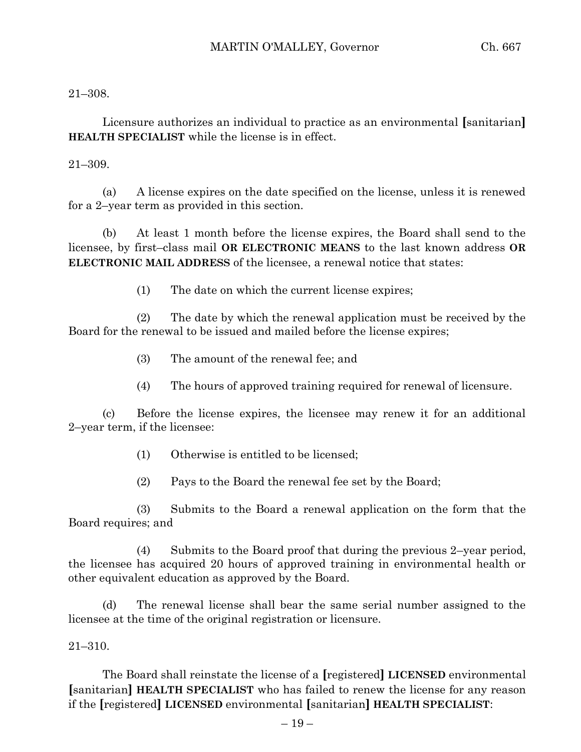21–308.

Licensure authorizes an individual to practice as an environmental **[**sanitarian**] HEALTH SPECIALIST** while the license is in effect.

21–309.

(a) A license expires on the date specified on the license, unless it is renewed for a 2–year term as provided in this section.

(b) At least 1 month before the license expires, the Board shall send to the licensee, by first–class mail **OR ELECTRONIC MEANS** to the last known address **OR ELECTRONIC MAIL ADDRESS** of the licensee, a renewal notice that states:

(1) The date on which the current license expires;

(2) The date by which the renewal application must be received by the Board for the renewal to be issued and mailed before the license expires;

(3) The amount of the renewal fee; and

(4) The hours of approved training required for renewal of licensure.

(c) Before the license expires, the licensee may renew it for an additional 2–year term, if the licensee:

- (1) Otherwise is entitled to be licensed;
- (2) Pays to the Board the renewal fee set by the Board;

(3) Submits to the Board a renewal application on the form that the Board requires; and

(4) Submits to the Board proof that during the previous 2–year period, the licensee has acquired 20 hours of approved training in environmental health or other equivalent education as approved by the Board.

(d) The renewal license shall bear the same serial number assigned to the licensee at the time of the original registration or licensure.

21–310.

The Board shall reinstate the license of a **[**registered**] LICENSED** environmental **[**sanitarian**] HEALTH SPECIALIST** who has failed to renew the license for any reason if the **[**registered**] LICENSED** environmental **[**sanitarian**] HEALTH SPECIALIST**: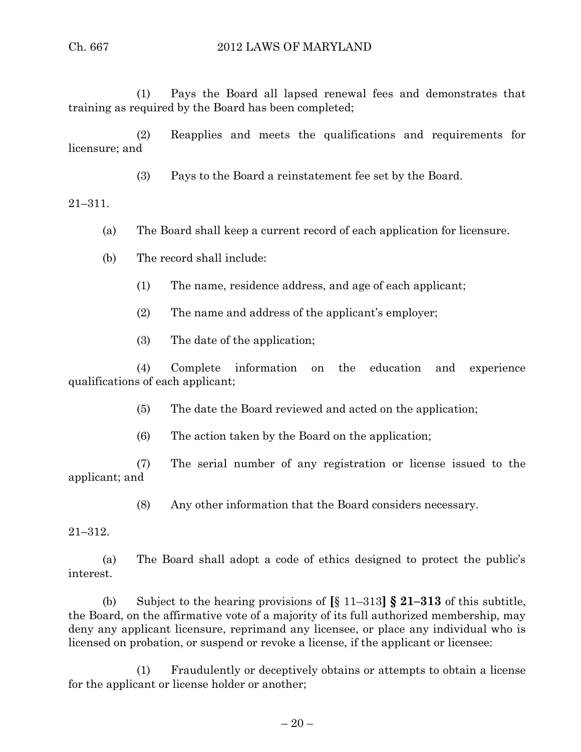(1) Pays the Board all lapsed renewal fees and demonstrates that training as required by the Board has been completed;

(2) Reapplies and meets the qualifications and requirements for licensure; and

(3) Pays to the Board a reinstatement fee set by the Board.

21–311.

- (a) The Board shall keep a current record of each application for licensure.
- (b) The record shall include:
	- (1) The name, residence address, and age of each applicant;
	- (2) The name and address of the applicant's employer;
	- (3) The date of the application;

(4) Complete information on the education and experience qualifications of each applicant;

(5) The date the Board reviewed and acted on the application;

(6) The action taken by the Board on the application;

(7) The serial number of any registration or license issued to the applicant; and

(8) Any other information that the Board considers necessary.

21–312.

(a) The Board shall adopt a code of ethics designed to protect the public's interest.

(b) Subject to the hearing provisions of **[**§ 11–313**] § 21–313** of this subtitle, the Board, on the affirmative vote of a majority of its full authorized membership, may deny any applicant licensure, reprimand any licensee, or place any individual who is licensed on probation, or suspend or revoke a license, if the applicant or licensee:

(1) Fraudulently or deceptively obtains or attempts to obtain a license for the applicant or license holder or another;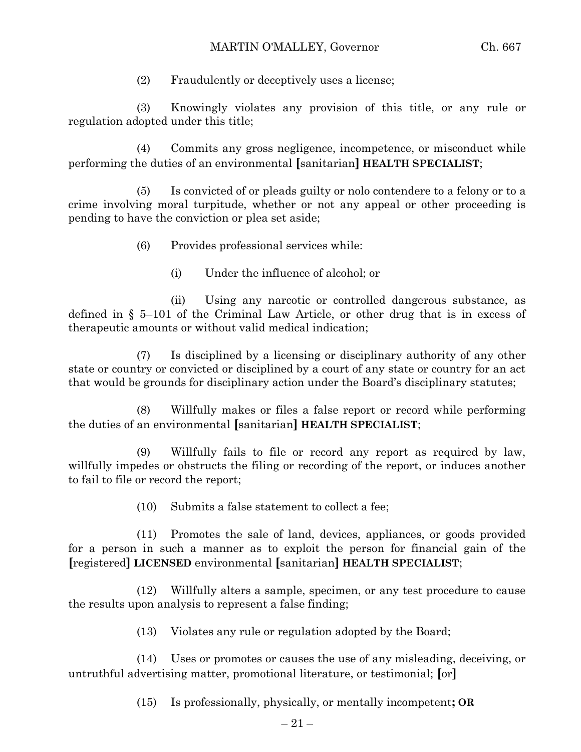(2) Fraudulently or deceptively uses a license;

(3) Knowingly violates any provision of this title, or any rule or regulation adopted under this title;

(4) Commits any gross negligence, incompetence, or misconduct while performing the duties of an environmental **[**sanitarian**] HEALTH SPECIALIST**;

(5) Is convicted of or pleads guilty or nolo contendere to a felony or to a crime involving moral turpitude, whether or not any appeal or other proceeding is pending to have the conviction or plea set aside;

- (6) Provides professional services while:
	- (i) Under the influence of alcohol; or

(ii) Using any narcotic or controlled dangerous substance, as defined in § 5–101 of the Criminal Law Article, or other drug that is in excess of therapeutic amounts or without valid medical indication;

(7) Is disciplined by a licensing or disciplinary authority of any other state or country or convicted or disciplined by a court of any state or country for an act that would be grounds for disciplinary action under the Board's disciplinary statutes;

(8) Willfully makes or files a false report or record while performing the duties of an environmental **[**sanitarian**] HEALTH SPECIALIST**;

(9) Willfully fails to file or record any report as required by law, willfully impedes or obstructs the filing or recording of the report, or induces another to fail to file or record the report;

(10) Submits a false statement to collect a fee;

(11) Promotes the sale of land, devices, appliances, or goods provided for a person in such a manner as to exploit the person for financial gain of the **[**registered**] LICENSED** environmental **[**sanitarian**] HEALTH SPECIALIST**;

(12) Willfully alters a sample, specimen, or any test procedure to cause the results upon analysis to represent a false finding;

(13) Violates any rule or regulation adopted by the Board;

(14) Uses or promotes or causes the use of any misleading, deceiving, or untruthful advertising matter, promotional literature, or testimonial; **[**or**]**

(15) Is professionally, physically, or mentally incompetent**; OR**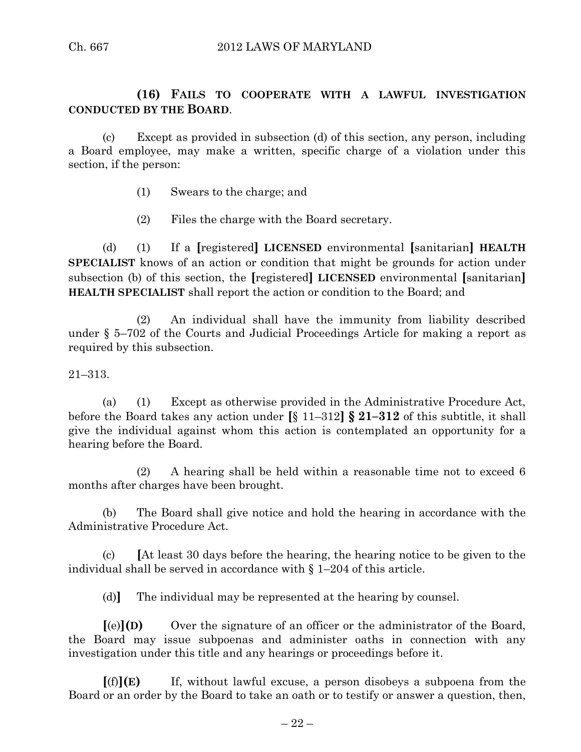# **(16) FAILS TO COOPERATE WITH A LAWFUL INVESTIGATION CONDUCTED BY THE BOARD**.

(c) Except as provided in subsection (d) of this section, any person, including a Board employee, may make a written, specific charge of a violation under this section, if the person:

- (1) Swears to the charge; and
- (2) Files the charge with the Board secretary.

(d) (1) If a **[**registered**] LICENSED** environmental **[**sanitarian**] HEALTH SPECIALIST** knows of an action or condition that might be grounds for action under subsection (b) of this section, the **[**registered**] LICENSED** environmental **[**sanitarian**] HEALTH SPECIALIST** shall report the action or condition to the Board; and

(2) An individual shall have the immunity from liability described under § 5–702 of the Courts and Judicial Proceedings Article for making a report as required by this subsection.

21–313.

(a) (1) Except as otherwise provided in the Administrative Procedure Act, before the Board takes any action under **[**§ 11–312**] § 21–312** of this subtitle, it shall give the individual against whom this action is contemplated an opportunity for a hearing before the Board.

(2) A hearing shall be held within a reasonable time not to exceed 6 months after charges have been brought.

(b) The Board shall give notice and hold the hearing in accordance with the Administrative Procedure Act.

(c) **[**At least 30 days before the hearing, the hearing notice to be given to the individual shall be served in accordance with  $\S$  1–204 of this article.

(d)**]** The individual may be represented at the hearing by counsel.

**[**(e)**](D)** Over the signature of an officer or the administrator of the Board, the Board may issue subpoenas and administer oaths in connection with any investigation under this title and any hearings or proceedings before it.

**[**(f)**](E)** If, without lawful excuse, a person disobeys a subpoena from the Board or an order by the Board to take an oath or to testify or answer a question, then,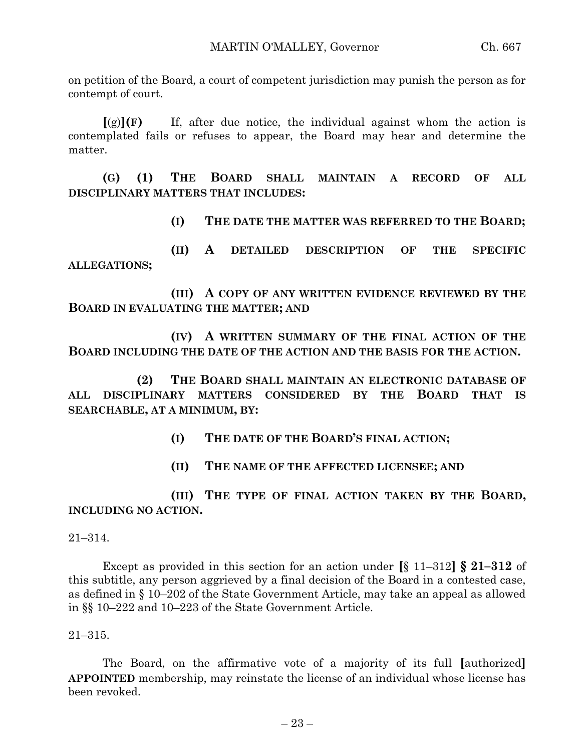on petition of the Board, a court of competent jurisdiction may punish the person as for contempt of court.

 $[(g)](F)$  If, after due notice, the individual against whom the action is contemplated fails or refuses to appear, the Board may hear and determine the matter.

**(G) (1) THE BOARD SHALL MAINTAIN A RECORD OF ALL DISCIPLINARY MATTERS THAT INCLUDES:**

**(I) THE DATE THE MATTER WAS REFERRED TO THE BOARD;**

**(II) A DETAILED DESCRIPTION OF THE SPECIFIC ALLEGATIONS;**

**(III) A COPY OF ANY WRITTEN EVIDENCE REVIEWED BY THE BOARD IN EVALUATING THE MATTER; AND**

**(IV) A WRITTEN SUMMARY OF THE FINAL ACTION OF THE BOARD INCLUDING THE DATE OF THE ACTION AND THE BASIS FOR THE ACTION.**

**(2) THE BOARD SHALL MAINTAIN AN ELECTRONIC DATABASE OF ALL DISCIPLINARY MATTERS CONSIDERED BY THE BOARD THAT IS SEARCHABLE, AT A MINIMUM, BY:**

**(I) THE DATE OF THE BOARD'S FINAL ACTION;**

**(II) THE NAME OF THE AFFECTED LICENSEE; AND**

**(III) THE TYPE OF FINAL ACTION TAKEN BY THE BOARD, INCLUDING NO ACTION.**

21–314.

Except as provided in this section for an action under **[**§ 11–312**] § 21–312** of this subtitle, any person aggrieved by a final decision of the Board in a contested case, as defined in § 10–202 of the State Government Article, may take an appeal as allowed in §§ 10–222 and 10–223 of the State Government Article.

21–315.

The Board, on the affirmative vote of a majority of its full **[**authorized**] APPOINTED** membership, may reinstate the license of an individual whose license has been revoked.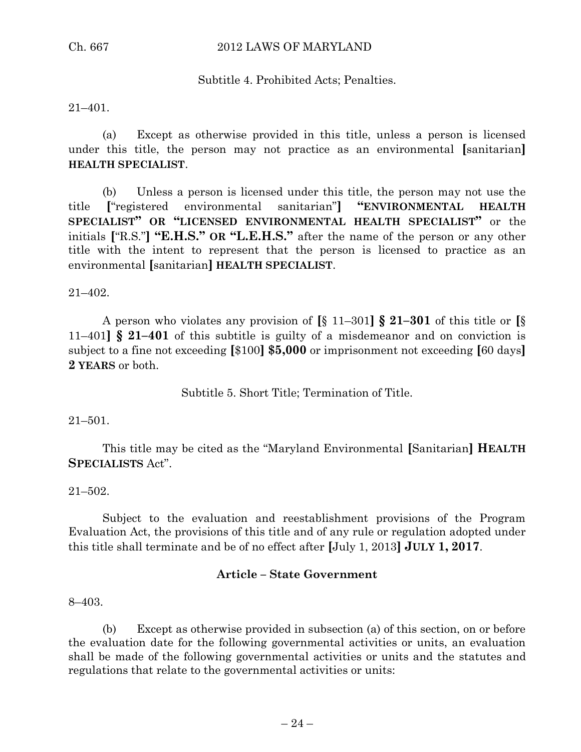# Subtitle 4. Prohibited Acts; Penalties.

### 21–401.

(a) Except as otherwise provided in this title, unless a person is licensed under this title, the person may not practice as an environmental **[**sanitarian**] HEALTH SPECIALIST**.

(b) Unless a person is licensed under this title, the person may not use the title **[**"registered environmental sanitarian"**] "ENVIRONMENTAL HEALTH SPECIALIST" OR "LICENSED ENVIRONMENTAL HEALTH SPECIALIST"** or the initials **[**"R.S."**] "E.H.S." OR "L.E.H.S."** after the name of the person or any other title with the intent to represent that the person is licensed to practice as an environmental **[**sanitarian**] HEALTH SPECIALIST**.

21–402.

A person who violates any provision of **[**§ 11–301**] § 21–301** of this title or **[**§ 11–401**] § 21–401** of this subtitle is guilty of a misdemeanor and on conviction is subject to a fine not exceeding **[**\$100**] \$5,000** or imprisonment not exceeding **[**60 days**] 2 YEARS** or both.

Subtitle 5. Short Title; Termination of Title.

### 21–501.

This title may be cited as the "Maryland Environmental **[**Sanitarian**] HEALTH SPECIALISTS** Act".

### 21–502.

Subject to the evaluation and reestablishment provisions of the Program Evaluation Act, the provisions of this title and of any rule or regulation adopted under this title shall terminate and be of no effect after **[**July 1, 2013**] JULY 1, 2017**.

### **Article – State Government**

8–403.

(b) Except as otherwise provided in subsection (a) of this section, on or before the evaluation date for the following governmental activities or units, an evaluation shall be made of the following governmental activities or units and the statutes and regulations that relate to the governmental activities or units: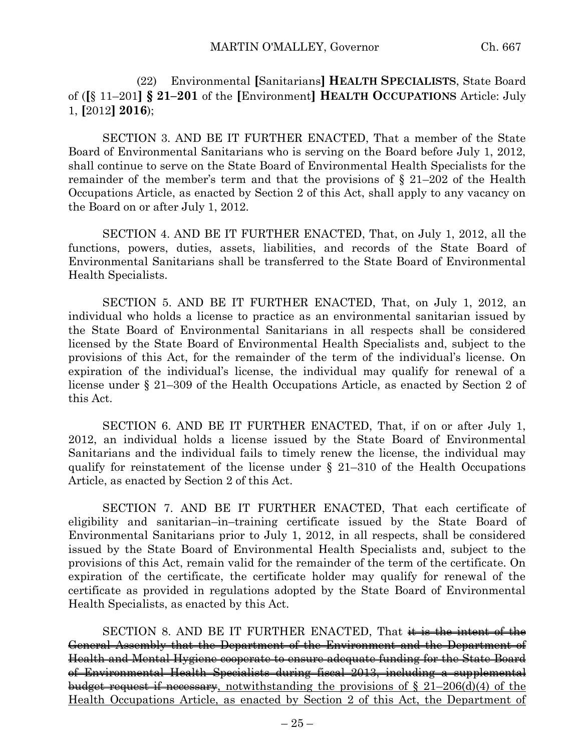(22) Environmental **[**Sanitarians**] HEALTH SPECIALISTS**, State Board of (**[**§ 11–201**] § 21–201** of the **[**Environment**] HEALTH OCCUPATIONS** Article: July 1, **[**2012**] 2016**);

SECTION 3. AND BE IT FURTHER ENACTED, That a member of the State Board of Environmental Sanitarians who is serving on the Board before July 1, 2012, shall continue to serve on the State Board of Environmental Health Specialists for the remainder of the member's term and that the provisions of § 21–202 of the Health Occupations Article, as enacted by Section 2 of this Act, shall apply to any vacancy on the Board on or after July 1, 2012.

SECTION 4. AND BE IT FURTHER ENACTED, That, on July 1, 2012, all the functions, powers, duties, assets, liabilities, and records of the State Board of Environmental Sanitarians shall be transferred to the State Board of Environmental Health Specialists.

SECTION 5. AND BE IT FURTHER ENACTED, That, on July 1, 2012, an individual who holds a license to practice as an environmental sanitarian issued by the State Board of Environmental Sanitarians in all respects shall be considered licensed by the State Board of Environmental Health Specialists and, subject to the provisions of this Act, for the remainder of the term of the individual's license. On expiration of the individual's license, the individual may qualify for renewal of a license under § 21–309 of the Health Occupations Article, as enacted by Section 2 of this Act.

SECTION 6. AND BE IT FURTHER ENACTED, That, if on or after July 1, 2012, an individual holds a license issued by the State Board of Environmental Sanitarians and the individual fails to timely renew the license, the individual may qualify for reinstatement of the license under § 21–310 of the Health Occupations Article, as enacted by Section 2 of this Act.

SECTION 7. AND BE IT FURTHER ENACTED, That each certificate of eligibility and sanitarian–in–training certificate issued by the State Board of Environmental Sanitarians prior to July 1, 2012, in all respects, shall be considered issued by the State Board of Environmental Health Specialists and, subject to the provisions of this Act, remain valid for the remainder of the term of the certificate. On expiration of the certificate, the certificate holder may qualify for renewal of the certificate as provided in regulations adopted by the State Board of Environmental Health Specialists, as enacted by this Act.

SECTION 8. AND BE IT FURTHER ENACTED, That  $\ddot{\textbf{i}}$  is the intent of the General Assembly that the Department of the Environment and the Department of Health and Mental Hygiene cooperate to ensure adequate funding for the State Board of Environmental Health Specialists during fiscal 2013, including a supplemental budget request if necessary, notwithstanding the provisions of  $\S$  21–206(d)(4) of the Health Occupations Article, as enacted by Section 2 of this Act, the Department of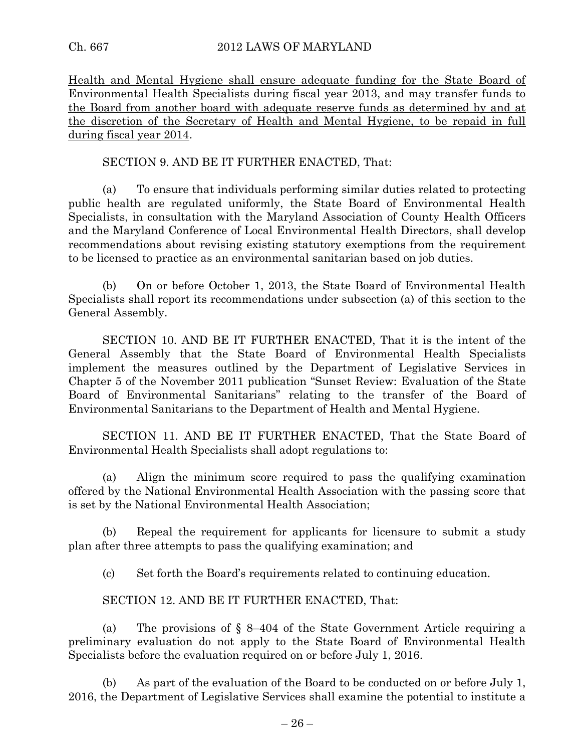Health and Mental Hygiene shall ensure adequate funding for the State Board of Environmental Health Specialists during fiscal year 2013, and may transfer funds to the Board from another board with adequate reserve funds as determined by and at the discretion of the Secretary of Health and Mental Hygiene, to be repaid in full during fiscal year 2014.

## SECTION 9. AND BE IT FURTHER ENACTED, That:

(a) To ensure that individuals performing similar duties related to protecting public health are regulated uniformly, the State Board of Environmental Health Specialists, in consultation with the Maryland Association of County Health Officers and the Maryland Conference of Local Environmental Health Directors, shall develop recommendations about revising existing statutory exemptions from the requirement to be licensed to practice as an environmental sanitarian based on job duties.

(b) On or before October 1, 2013, the State Board of Environmental Health Specialists shall report its recommendations under subsection (a) of this section to the General Assembly.

SECTION 10. AND BE IT FURTHER ENACTED, That it is the intent of the General Assembly that the State Board of Environmental Health Specialists implement the measures outlined by the Department of Legislative Services in Chapter 5 of the November 2011 publication "Sunset Review: Evaluation of the State Board of Environmental Sanitarians" relating to the transfer of the Board of Environmental Sanitarians to the Department of Health and Mental Hygiene.

SECTION 11. AND BE IT FURTHER ENACTED, That the State Board of Environmental Health Specialists shall adopt regulations to:

(a) Align the minimum score required to pass the qualifying examination offered by the National Environmental Health Association with the passing score that is set by the National Environmental Health Association;

(b) Repeal the requirement for applicants for licensure to submit a study plan after three attempts to pass the qualifying examination; and

(c) Set forth the Board's requirements related to continuing education.

SECTION 12. AND BE IT FURTHER ENACTED, That:

(a) The provisions of  $\S$  8–404 of the State Government Article requiring a preliminary evaluation do not apply to the State Board of Environmental Health Specialists before the evaluation required on or before July 1, 2016.

(b) As part of the evaluation of the Board to be conducted on or before July 1, 2016, the Department of Legislative Services shall examine the potential to institute a